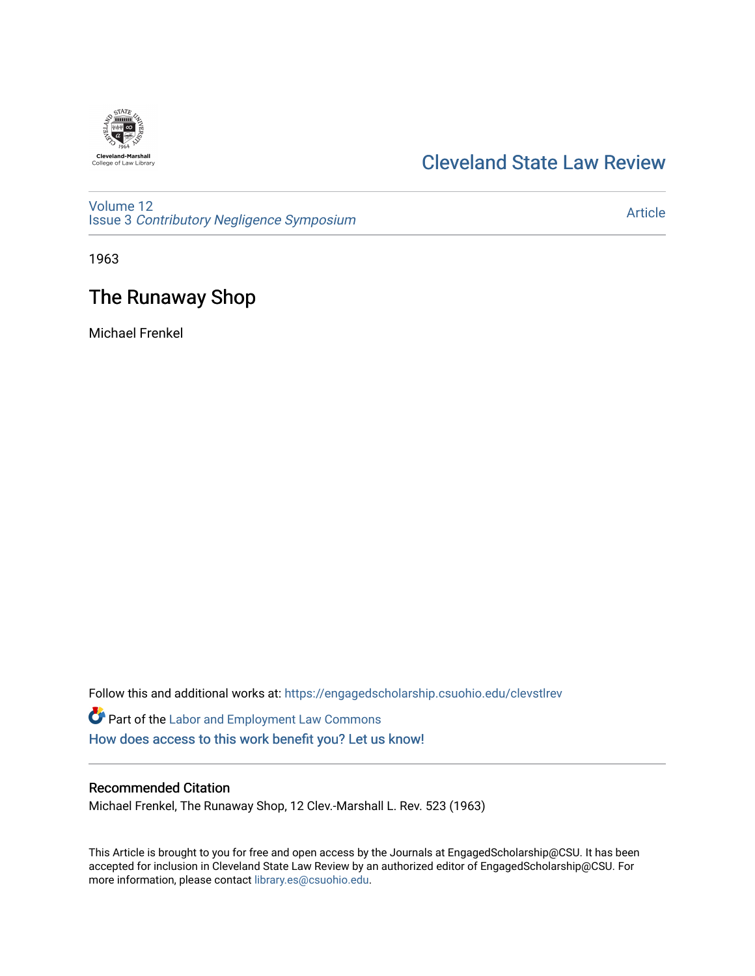

## [Cleveland State Law Review](https://engagedscholarship.csuohio.edu/clevstlrev)

[Volume 12](https://engagedscholarship.csuohio.edu/clevstlrev/vol12) Issue 3 [Contributory Negligence Symposium](https://engagedscholarship.csuohio.edu/clevstlrev/vol12/iss3)

[Article](https://engagedscholarship.csuohio.edu/clevstlrev/vol12/iss3/13) 

1963

# The Runaway Shop

Michael Frenkel

Follow this and additional works at: [https://engagedscholarship.csuohio.edu/clevstlrev](https://engagedscholarship.csuohio.edu/clevstlrev?utm_source=engagedscholarship.csuohio.edu%2Fclevstlrev%2Fvol12%2Fiss3%2F13&utm_medium=PDF&utm_campaign=PDFCoverPages)

Part of the [Labor and Employment Law Commons](http://network.bepress.com/hgg/discipline/909?utm_source=engagedscholarship.csuohio.edu%2Fclevstlrev%2Fvol12%2Fiss3%2F13&utm_medium=PDF&utm_campaign=PDFCoverPages) [How does access to this work benefit you? Let us know!](http://library.csuohio.edu/engaged/)

### Recommended Citation

Michael Frenkel, The Runaway Shop, 12 Clev.-Marshall L. Rev. 523 (1963)

This Article is brought to you for free and open access by the Journals at EngagedScholarship@CSU. It has been accepted for inclusion in Cleveland State Law Review by an authorized editor of EngagedScholarship@CSU. For more information, please contact [library.es@csuohio.edu](mailto:library.es@csuohio.edu).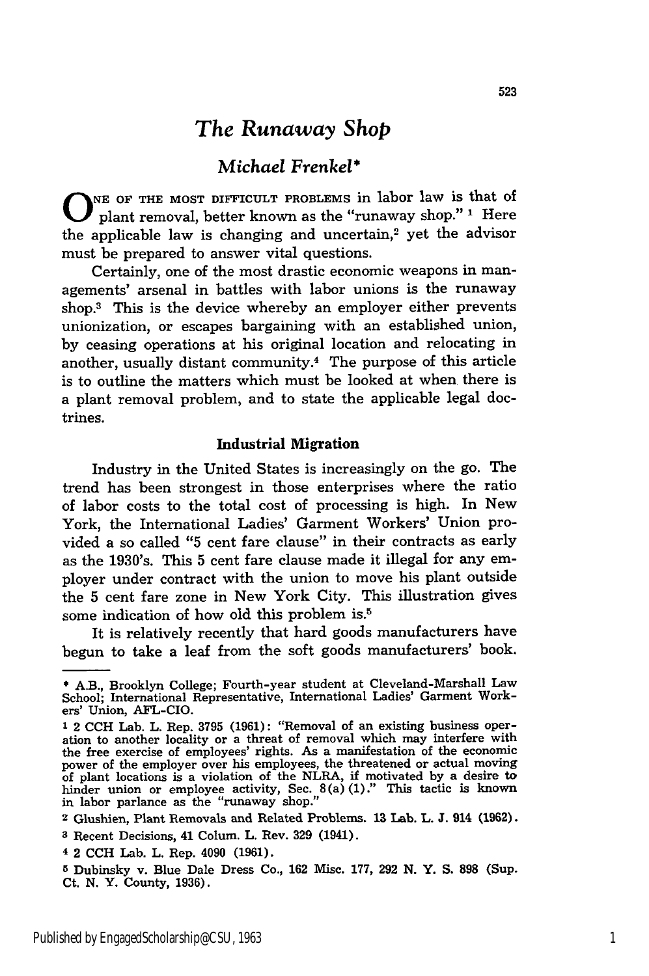## *The Runaway Shop*

### *Michael Frenkel\**

**0 NE OF THE MOST DIFFICULT PROBLEMS** in labor law is that of plant removal, better known as the "runaway shop." **1** Here the applicable law is changing and uncertain,<sup>2</sup> yet the advisor must be prepared to answer vital questions.

Certainly, one of the most drastic economic weapons in managements' arsenal in battles with labor unions is the runaway shop.3 This is the device whereby an employer either prevents unionization, or escapes bargaining with an established union, **by** ceasing operations at his original location and relocating **in** another, usually distant community.<sup>4</sup> The purpose of this article is to outline the matters which must be looked at when there is a plant removal problem, and to state the applicable legal doctrines.

#### Industrial **Migration**

Industry in the United States is increasingly on the go. The trend has been strongest in those enterprises where the ratio of labor costs to the total cost of processing is high. In New York, the International Ladies' Garment Workers' Union provided a so called **"5** cent fare clause" in their contracts as early as the 1930's. This **5** cent fare clause made it illegal for any employer under contract with the union to move his plant outside the **5** cent fare zone in New York City. This illustration gives some indication of how old this problem is.<sup>5</sup>

It is relatively recently that hard goods manufacturers have begun to take a leaf from the soft goods manufacturers' book.

**<sup>\*</sup>** A.B., Brooklyn College; Fourth-year student at Cleveland-Marshall Law School; International Representative, International Ladies' Garment Workers' Union, AFL-CIO.

**<sup>1</sup>** 2 **CCH** Lab. L. Rep. **3795 (1961):** "Removal of an existing business operation to another locality or a threat of removal which may interfere with the free exercise of employees' rights. As a manifestation of the economic power of the employer over his employees, the threatened or actual moving of plant locations is a violation of the NLRA, **if** motivated **by** a desire to hinder union or employee activity, Sec. 8(a) **(1)."** This tactic is known in labor parlance as the "runaway shop."

**<sup>2</sup>**Glushien, Plant Removals and Related Problems. **13** Lab. L. **J.** 914 **(1962).**

**<sup>3</sup>**Recent Decisions, 41 Colum. L. Rev. **329** (1941).

**<sup>4</sup>** 2 **CCH** Lab. L. Rep. 4090 **(1961).**

**<sup>5</sup>** Dubinsky v. Blue Dale Dress Co., **162** Misc. **177, 292 N.** Y. **S. 898** (Sup. Ct. **N.** Y. County, **1936).**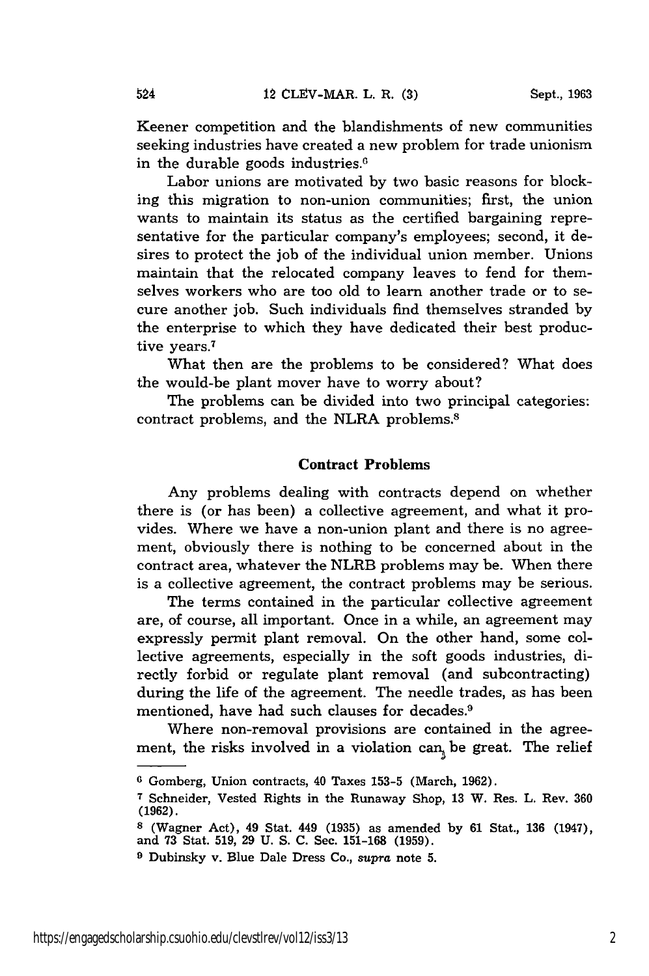524

Keener competition and the blandishments of new communities seeking industries have created a new problem for trade unionism in the durable goods industries.

Labor unions are motivated by two basic reasons for blocking this migration to non-union communities; first, the union wants to maintain its status as the certified bargaining representative for the particular company's employees; second, it desires to protect the job of the individual union member. Unions maintain that the relocated company leaves to fend for themselves workers who are too old to learn another trade or to secure another job. Such individuals find themselves stranded by the enterprise to which they have dedicated their best productive years.<sup>7</sup>

What then are the problems to be considered? What does the would-be plant mover have to worry about?

The problems can be divided into two principal categories: contract problems, and the NLRA problems.<sup>8</sup>

#### **Contract Problems**

Any problems dealing with contracts depend on whether there is (or has been) a collective agreement, and what it provides. Where we have a non-union plant and there is no agreement, obviously there is nothing to be concerned about in the contract area, whatever the NLRB problems may be. When there is a collective agreement, the contract problems may be serious.

The terms contained in the particular collective agreement are, of course, all important. Once in a while, an agreement may expressly permit plant removal. On the other hand, some collective agreements, especially in the soft goods industries, directly forbid or regulate plant removal (and subcontracting) during the life of the agreement. The needle trades, as has been mentioned, have had such clauses for decades.<sup>9</sup>

Where non-removal provisions are contained in the agreement, the risks involved in a violation can<sub> $_{1}$ </sub> be great. The relief

**<sup>6</sup>** Gomberg, Union contracts, 40 Taxes 153-5 (March, 1962).

**<sup>7</sup>**Schneider, Vested Rights in the Runaway Shop, 13 W. Res. L. Rev. **360 (1962).**

**<sup>8</sup>** (Wagner Act), 49 Stat. 449 **(1935)** as amended by 61 Stat., **136** (1947), and 73 Stat. 519, 29 U. S. C. Sec. 151-168 (1959).

<sup>&</sup>lt;sup>9</sup> Dubinsky v. Blue Dale Dress Co., supra note 5.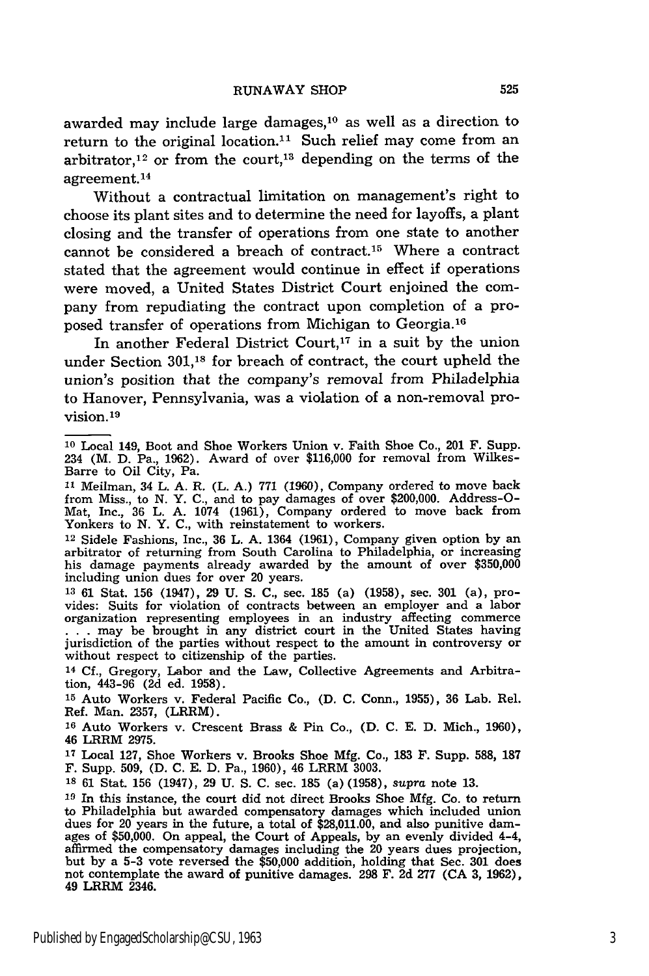awarded may include large damages,<sup>10</sup> as well as a direction to return to the original location.<sup>11</sup> Such relief may come from an arbitrator,<sup>12</sup> or from the court,<sup>13</sup> depending on the terms of the agreement.14

Without a contractual limitation on management's right to choose its plant sites and to determine the need for layoffs, a plant closing and the transfer of operations from one state to another cannot be considered a breach of contract.<sup>15</sup> Where a contract stated that the agreement would continue in effect if operations were moved, a United States District Court enjoined the company from repudiating the contract upon completion of a proposed transfer of operations from Michigan to Georgia. <sup>16</sup>

In another Federal District Court,<sup>17</sup> in a suit by the union under Section 301,18 for breach of contract, the court upheld the union's position that the company's removal from Philadelphia to Hanover, Pennsylvania, was a violation of a non-removal provision. <sup>19</sup>

12 Sidele Fashions, Inc., 36 L. A. 1364 (1961), Company given option by an arbitrator of returning from South Carolina to Philadelphia, or increasing his damage payments already awarded by the amount of over \$350,000 including union dues for over 20 years.

**13** 61 Stat. 156 (1947), 29 U. S. C., sec. 185 (a) (1958), sec. 301 (a), provides: Suits for violation of contracts between an employer and a labor organization representing employees in an industry affecting commerce ... may be brought in any district court in the United States having jurisdiction of the parties without respect to the amount in controversy or without respect to citizenship of the parties.

14 Cf., Gregory, Labor and the Law, Collective Agreements and Arbitration, 443-96 (2d ed. 1958).

**<sup>15</sup>**Auto Workers v. Federal Pacific Co., (D. C. Conn., 1955), 36 Lab. Rel. Ref. Man. 2357, (LRRM).

**<sup>16</sup>**Auto Workers v. Crescent Brass & Pin Co., (D. C. E. D. Mich., 1960), 46 LRRM 2975.

17 Local 127, Shoe Workers v. Brooks Shoe Mfg. Co., 183 **F.** Supp. 588, 187 F. Supp. 509, (D. C. E. D. Pa., 1960), 46 LRRM 3003.

**<sup>18</sup>**61 Stat. 156 (1947), 29 U. S. C. sec. **185** (a) (1958), *supra* note 13.

**<sup>19</sup>**In this instance, the court did not direct Brooks Shoe Mfg. Co. to return to Philadelphia but awarded compensatory damages which included union dues for 20 years in the future, a total of \$28,011.00, and also punitive damages of \$50,000. On appeal, the Court of Appeals, by an evenly divided 4-4, affirmed the compensatory damages including the 20 years dues projection, but by a 5-3 vote reversed the \$50,000 additioh, holding that Sec. 301 does not contemplate the award of punitive damages. 298 F. 2d 277 (CA 3, 1962), 49 LRRM 2346.

<sup>10</sup> Local 149, Boot and Shoe Workers Union v. Faith Shoe Co., 201 F. Supp. 234 (M. D. Pa., 1962). Award of over \$116,000 for removal from Wilkes-Barre to Oil City, Pa.

**<sup>11</sup>**Meilman, 34 L. A. R. (L. A.) 771 (1960), Company ordered to move back from Miss., to N. Y. C., and to pay damages of over \$200,000. Address-O-Mat, Inc., 36 L. A. 1074 (1961), Company ordered to move back from Yonkers to N. Y. C., with reinstatement to workers.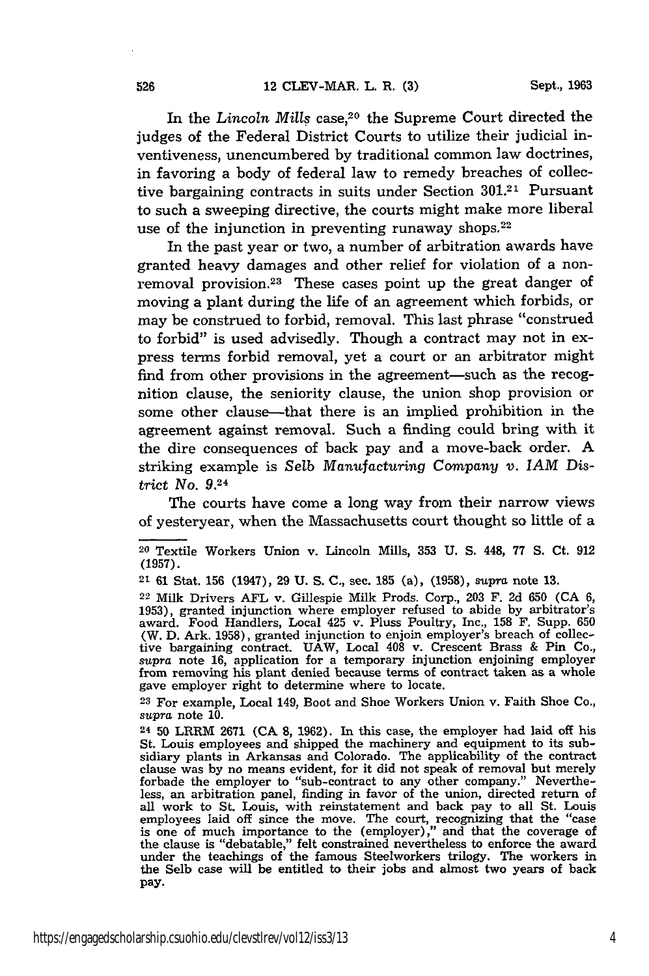In the *Lincoln Mills* case,<sup>20</sup> the Supreme Court directed the judges of the Federal District Courts to utilize their judicial inventiveness, unencumbered by traditional common law doctrines, in favoring a body of federal law to remedy breaches of collective bargaining contracts in suits under Section **301.21** Pursuant to such a sweeping directive, the courts might make more liberal use of the injunction in preventing runaway shops.<sup>22</sup>

In the past year or two, a number of arbitration awards have granted heavy damages and other relief for violation of a nonremoval provision.<sup>23</sup> These cases point up the great danger of moving a plant during the life of an agreement which forbids, or may be construed to forbid, removal. This last phrase "construed to forbid" is used advisedly. Though a contract may not in express terms forbid removal, yet a court or an arbitrator might find from other provisions in the agreement-such as the recognition clause, the seniority clause, the union shop provision or some other clause—that there is an implied prohibition in the agreement against removal. Such a finding could bring with it the dire consequences of back pay and a move-back order. A striking example is Selb *Manufacturing Company v. IAM* District No. 9.24

The courts have come a long way from their narrow views of yesteryear, when the Massachusetts court thought so little of a

**<sup>23</sup>**For example, Local 149, Boot and Shoe Workers Union v. Faith Shoe Co., *supra* note 10.

<sup>20</sup> Textile Workers Union v. Lincoln Mills, 353 U. S. 448, 77 S. Ct. 912 (1957).

<sup>21 61</sup> Stat. 156 (1947), 29 **U.** S. **C.,** sec. **185** (a), (1958), supra note **13.**

<sup>22</sup> Milk Drivers **AFL** v. Gillespie Milk Prods. Corp., 203 F. 2d 650 **(CA** 6, 1953), granted injunction where employer refused to abide by arbitrator's award. Food Handlers, Local 425 v. Pluss Poultry, Inc., 158 F. Supp. **650** (W. **D.** Ark. 1958), granted injunction to enjoin employer's breach of collective bargaining contract. UAW, Local 408 v. Crescent Brass & Pin Co., *supra* note 16, application for a temporary injunction enjoining employer from removing his plant denied because terms of contract taken as a whole gave employer right to determine where to locate.

<sup>24 50</sup> LRRM **2671** (CA 8, 1962). In this case, the employer had laid off his St. Louis employees and shipped the machinery and equipment to its subsidiary plants in Arkansas and Colorado. The applicability of the contract clause was by no means evident, for it did not speak of removal but merely forbade the employer to "sub-contract to any other company." Nevertheless, an arbitration panel, finding in favor of the union, directed return of all work to St. Louis, with reinstatement and back pay to all St. Louis employees laid off since the move. The court, recognizing that the "case is one of much importance to the (employer)," and that the coverage of the clause is "debatable," felt constrained nevertheless to enforce the award under the teachings of the famous Steelworkers trilogy. The workers in the Selb case will be entitled to their jobs and almost two years of back pay.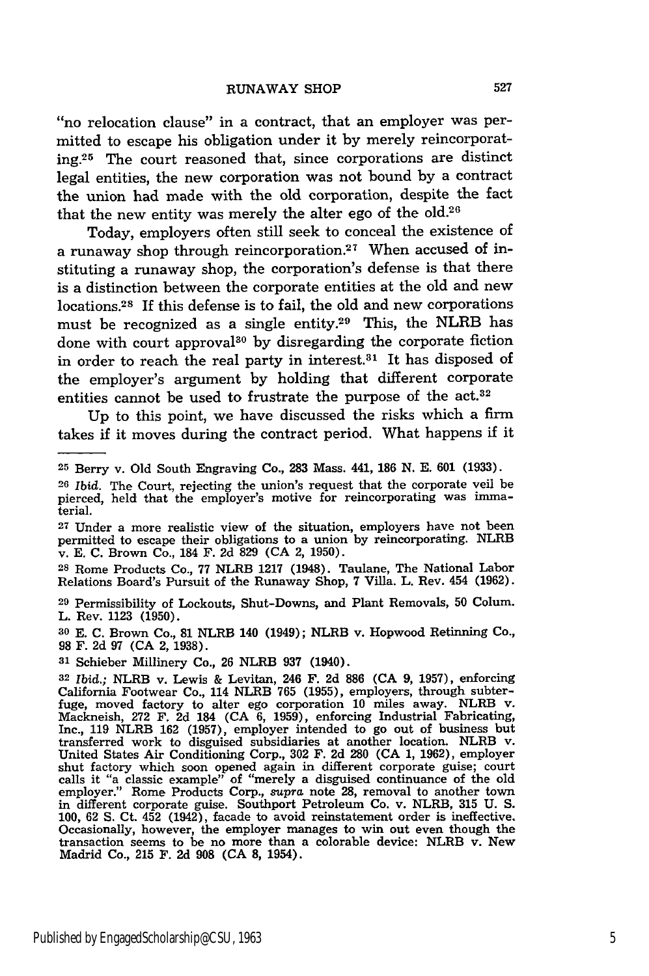"no relocation clause" in a contract, that an employer was permitted to escape his obligation under it by merely reincorporating.<sup>25</sup> The court reasoned that, since corporations are distinct legal entities, the new corporation was not bound by a contract the union had made with the old corporation, despite the fact that the new entity was merely the alter ego of the old.26

Today, employers often still seek to conceal the existence of a runaway shop through reincorporation.<sup>27</sup> When accused of instituting a runaway shop, the corporation's defense is that there is a distinction between the corporate entities at the old and new locations.28 If this defense is to fail, the old and new corporations must be recognized as a single entity.<sup>29</sup> This, the NLRB has done with court approval<sup>30</sup> by disregarding the corporate fiction in order to reach the real party in interest.<sup>31</sup> It has disposed of the employer's argument by holding that different corporate entities cannot be used to frustrate the purpose of the act.<sup>32</sup>

Up to this point, we have discussed the risks which a firm takes if it moves during the contract period. What happens if it

**<sup>27</sup>**Under a more realistic view of the situation, employers have not been permitted to escape their obligations to a union by reincorporating. NLRB v. E. C. Brown Co., 184 F. 2d 829 (CA 2, 1950).

**<sup>28</sup>**Rome Products Co., 77 NLRB 1217 (1948). Taulane, The National Labor Relations Board's Pursuit of the Runaway Shop, 7 Villa. L. Rev. 454 (1962).

**<sup>29</sup>**Permissibility of Lockouts, Shut-Downs, and Plant Removals, **50** Colum. L. Rev. 1123 (1950).

**30 E. C.** Brown Co., **81** NLRB 140 (1949); NLRB v. Hopwood Retinning Co., **98** F. **2d 97 (CA** 2, **1938).**

**<sup>31</sup>**Schieber Millinery Co., **26** NLRB **937** (1940).

**<sup>25</sup>**Berry v. Old South Engraving Co., 283 Mass. 441, 186 N. E. 601 (1933).

**<sup>26</sup>***Ibid.* The Court, rejecting the union's request that the corporate veil be pierced, held that the employer's motive for reincorporating was immaterial.

**<sup>32</sup>***Ibid.;* NLRB v. Lewis & Levitan, 246 F. **2d 886 (CA 9, 1957),** enforcing California Footwear Co., 114 NLRB **765 (1955),** employers, through subter-fuge, moved factory to alter ego corporation **10** miles away. NLRB v. Mackneish, **272** F. **2d** 184 **(CA 6, 1959),** enforcing Industrial Fabricating, Inc., **119** NLRB **162 (1957),** employer intended to go out of business but transferred work to disguised subsidiaries at another location. NLRB v. United States Air Conditioning Corp., **302** F. **2d 280 (CA 1, 1962),** employer shut factory which soon opened again in different corporate guise; court<br>calls it "a classic example" of "merely a disguised continuance of the old<br>employer." Rome Products Corp., supra note 28, removal to another town in different corporate guise. Southport Petroleum Co. v. NLRB, **315 U. S. 100, 62 S.** Ct. 452 (1942), facade to avoid reinstatement order is ineffective. 100, 62 S. Ct.  $452$  (1942), facade to avoid reinstatement order is ineffective.<br>Occasionally, however, the employer manages to win out even though the transaction seems to be no more than a colorable device: NLRB v. New Madrid Co., **215** F. **2d 908 (CA 8,** 1954).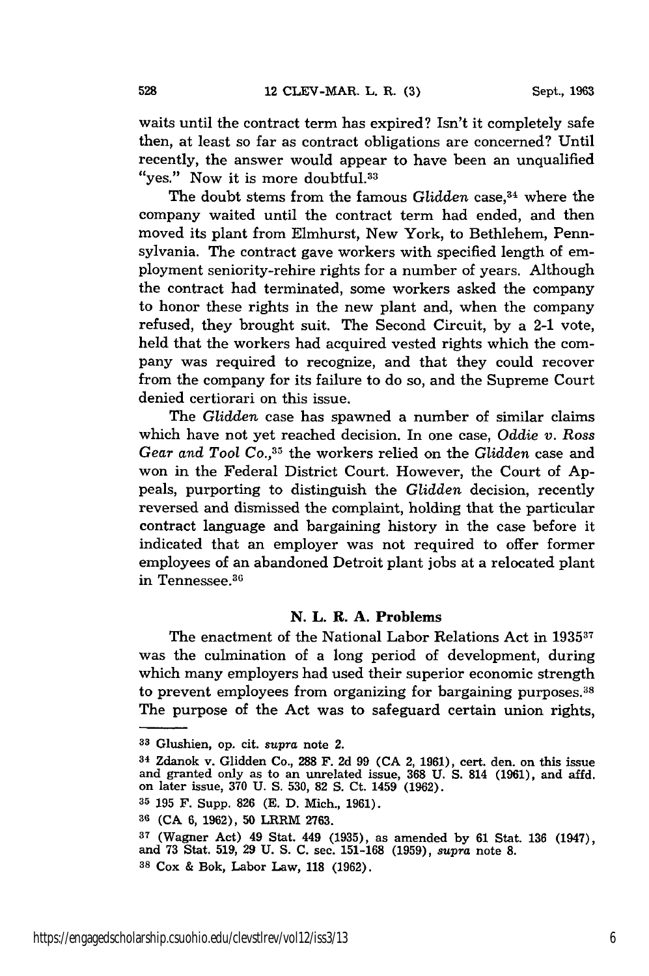waits until the contract term has expired? Isn't it completely safe then, at least so far as contract obligations are concerned? Until recently, the answer would appear to have been an unqualified "yes." Now it is more doubtful.<sup>33</sup>

The doubt stems from the famous *Glidden* case, 34 where the company waited until the contract term had ended, and then moved its plant from Elmhurst, New York, to Bethlehem, Pennsylvania. The contract gave workers with specified length of employment seniority-rehire rights for a number of years. Although the contract had terminated, some workers asked the company to honor these rights in the new plant and, when the company refused, they brought suit. The Second Circuit, by a 2-1 vote, held that the workers had acquired vested rights which the company was required to recognize, and that they could recover from the company for its failure to do so, and the Supreme Court denied certiorari on this issue.

The *Glidden* case has spawned a number of similar claims which have not yet reached decision. In one case, *Oddie v. Ross Gear and* Tool Co., 35 the workers relied on the *Glidden* case and won in the Federal District Court. However, the Court of Appeals, purporting to distinguish the *Glidden* decision, recently reversed and dismissed the complaint, holding that the particular contract language and bargaining history in the case before it indicated that an employer was not required to offer former employees of an abandoned Detroit plant jobs at a relocated plant in Tennessee.<sup>36</sup>

#### **N.** L. R. **A. Problems**

The enactment of the National Labor Relations Act in 1935<sup>37</sup> was the culmination of a long period of development, during which many employers had used their superior economic strength to prevent employees from organizing for bargaining purposes.<sup>38</sup> The purpose of the Act was to safeguard certain union rights,

**<sup>33</sup>**Glushien, op. cit. *supra* note 2.

**<sup>34</sup>**Zdanok v. Glidden Co., **288** F. **2d 99 (CA** 2, **1961),** cert. den. on this issue and granted only as to an unrelated issue, 368 U. S. 814 **(1961)**, and affd. on later issue, 370 U. S. 530, 82 S. Ct. 1459 **(1962)**.

**<sup>35 195</sup>** F. Supp. **826 (E. D.** Mich., **1961).**

**<sup>36 (</sup>CA** 6, **1962), 50** LRRM **2763.**

**<sup>37</sup>**(Wagner Act) 49 Stat. 449 (1935), as amended by 61 Stat. 136 (1947), and 73 Stat. 519, 29 U. S. **C.** sec. 151-168 **(1959),** *supra* note **8. <sup>38</sup>**Cox & Bok, Labor Law, 118 (1962).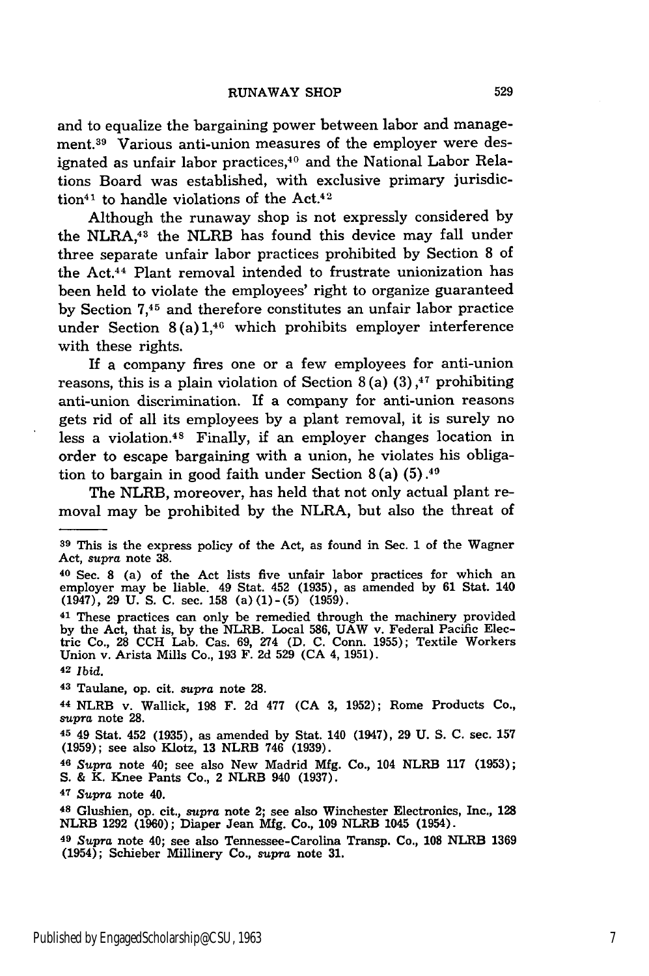and to equalize the bargaining power between labor and management.<sup>39</sup> Various anti-union measures of the employer were designated as unfair labor practices,<sup>40</sup> and the National Labor Relations Board was established, with exclusive primary jurisdiction<sup>41</sup> to handle violations of the Act.<sup>42</sup>

Although the runaway shop is not expressly considered by the NLRA,43 the NLRB has found this device may fall under three separate unfair labor practices prohibited by Section 8 of the Act.44 Plant removal intended to frustrate unionization has been held to violate the employees' right to organize guaranteed by Section **7,45** and therefore constitutes an unfair labor practice under Section  $8(a) 1,46$  which prohibits employer interference with these rights.

If a company fires one or a few employees for anti-union reasons, this is a plain violation of Section 8(a)  $(3)$ ,<sup>47</sup> prohibiting anti-union discrimination. If a company for anti-union reasons gets rid of all its employees by a plant removal, it is surely no less a violation.48 Finally, if an employer changes location in order to escape bargaining with a union, he violates his obligation to bargain in good faith under Section  $8(a)$  (5).<sup>40</sup>

The NLRB, moreover, has held that not only actual plant removal may be prohibited by the NLRA, but also the threat of

**<sup>42</sup>***Ibid.*

**<sup>43</sup>**Taulane, op. cit. *supra* note 28.

**<sup>44</sup>**NLRB v. Wallick, **198** F. 2d 477 (CA 3, 1952); Rome Products Co., *supra* note **28.**

45 49 Stat. 452 (1935), as amended by Stat. 140 (1947), 29 U. S. C. sec. 157 (1959); see also Klotz, 13 NLRB 746 (1939).

**<sup>46</sup>***Supra* note 40; see also New Madrid Mfg. Co., 104 NLRB **117** (1953); **S.** & K. Knee Pants Co., 2 NLRB 940 (1937).

**<sup>47</sup>***Supra* note 40.

**<sup>48</sup>**Glushien, op. cit., *supra* note 2; see also Winchester Electronics, Inc., **128** NLRB **1292 (1960);** Diaper Jean **Mfg.** Co., **109** NLRB 1045 (1954).

**<sup>39</sup>**This is the express policy of the Act, as found in Sec. **1** of the Wagner Act, *supra* note **38.**

**<sup>40</sup>**Sec. **8** (a) of the Act lists five unfair labor practices for which an employer may be liable. 49 Stat. 452 **(1935),** as amended **by 61** Stat. 140 (1947), **29 U. S. C.** sec. **158 (a)(1)-(5) (1959).**

<sup>41</sup> These practices can only be remedied through the machinery provided **by** the Act, that is, **by** the NLRB. Local **586, UAW** v. Federal Pacific Electric Co., **28 CCH** Lab. Cas. **69,** 274 **(D. C.** Conn. **1955);** Textile Workers Union v. Arista Mills Co., **193** F. **2d 529 (CA** 4, **1951).**

**<sup>49</sup>***Supra* note 40; see also Tennessee-Carolina Transp. Co., **108** NLRB **1369** (1954); Schieber Millinery Co., *supra* note **31.**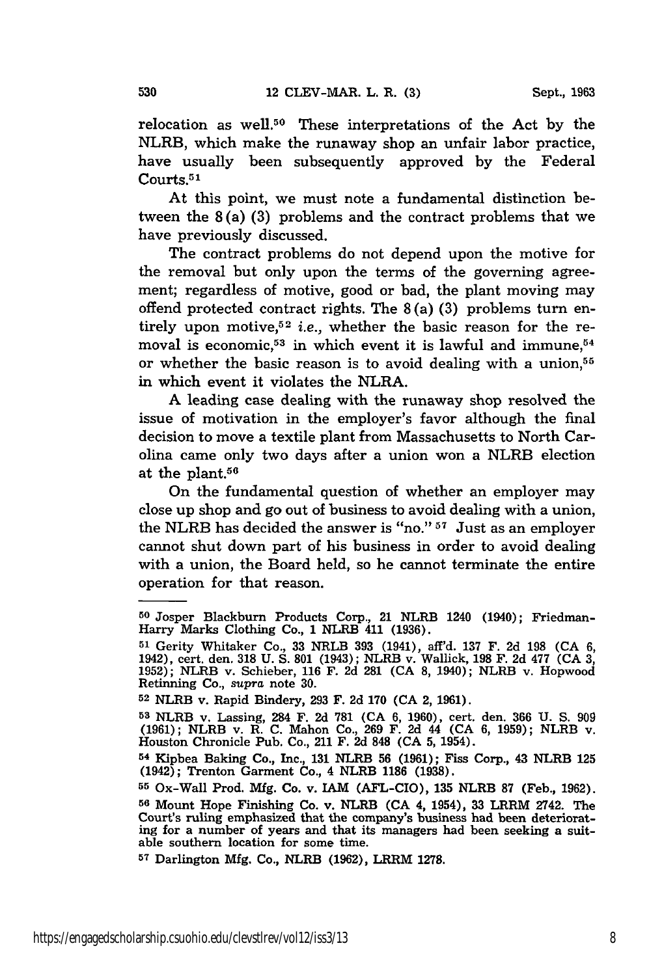530

relocation as well. 50 These interpretations of the Act **by** the NLRB, which make the runaway shop an unfair labor practice, have usually been subsequently approved **by** the Federal Courts.<sup>51</sup>

At this point, we must note a fundamental distinction between the 8(a) **(3)** problems and the contract problems that we have previously discussed.

The contract problems do not depend upon the motive for the removal but only upon the terms of the governing agreement; regardless of motive, good or bad, the plant moving may offend protected contract rights. The 8 (a) **(3)** problems turn entirely upon motive,<sup>52</sup> i.e., whether the basic reason for the removal is economic,<sup>53</sup> in which event it is lawful and immune, $54$ or whether the basic reason is to avoid dealing with a union,<sup>55</sup> in which event it violates the NLRA.

**A** leading case dealing with the runaway shop resolved the issue of motivation in the employer's favor although the final decision to move a textile plant from Massachusetts to North Carolina came only two days after a union won a NLRB election at the plant. $56$ 

On the fundamental question of whether an employer may close up shop and go out of business to avoid dealing with a union, the NLRB has decided the answer is "no."  $57$  Just as an employer cannot shut down part of his business in order to avoid dealing with a union, the Board held, so he cannot terminate the entire operation for that reason.

**<sup>57</sup>**Darlington Mfg. Co., NLRB **(1962),** LRRM 1278.

**<sup>50</sup>** Josper Blackburn Products Corp., 21 NLRB 1240 (1940); Friedman-Harry Marks Clothing Co., **1** NLRB 411 **(1936).**

**<sup>51</sup>**Gerity Whitaker Co., **33** NRLB **393** (1941), aff'd. **137** F. **2d 198 (CA 6,** 1942), cert. den. **318 U. S. 801** (1943); NLRB v. Wallick, **198** F. **2d 477 (CA 3, 1952);** NLRB v. Schieber, **116** F. **2d 281 (CA 8,** 1940); NLRB v. Hopwood Retinning Co., *supra* note **30. <sup>52</sup>**NLRB v. Rapid Bindery, **293** F. **2d 170 (CA** 2, **1961).**

**<sup>53</sup>**NLRB v. Lassing, 284 **F. 2d 781 (CA 6, 1960),** cert. den. **366 U. S. 909 (1961);** NLRB v. R. **C.** Mahon Co., **269** F. **2d** 44 **(CA 6, 1959);** NLRB v. Houston Chronicle Pub. Co., 211 F. **2d 848 (CA 5,** 1954).

**<sup>54</sup>**Kipbea Baking Co., Inc., **131** NLRB **56 (1961);** Fiss Corp., 43 NLRB **125** (1942); Trenton Garment Co., 4 NLRB 1186 **(1938).**

**<sup>55</sup>**Ox-Wall Prod. Mfg. Co. v. **IAM** (AFL-CIO), **135** NLRB 87 (Feb., 1962). **<sup>56</sup>**Mount Hope Finishing Co. v. NLRB **(CA** 4, 1954), **33** LRRM 2742. The Court's ruling emphasized that the company's business had been deteriorating for a number of years and that its managers had been seeking a suitable southern location for some time.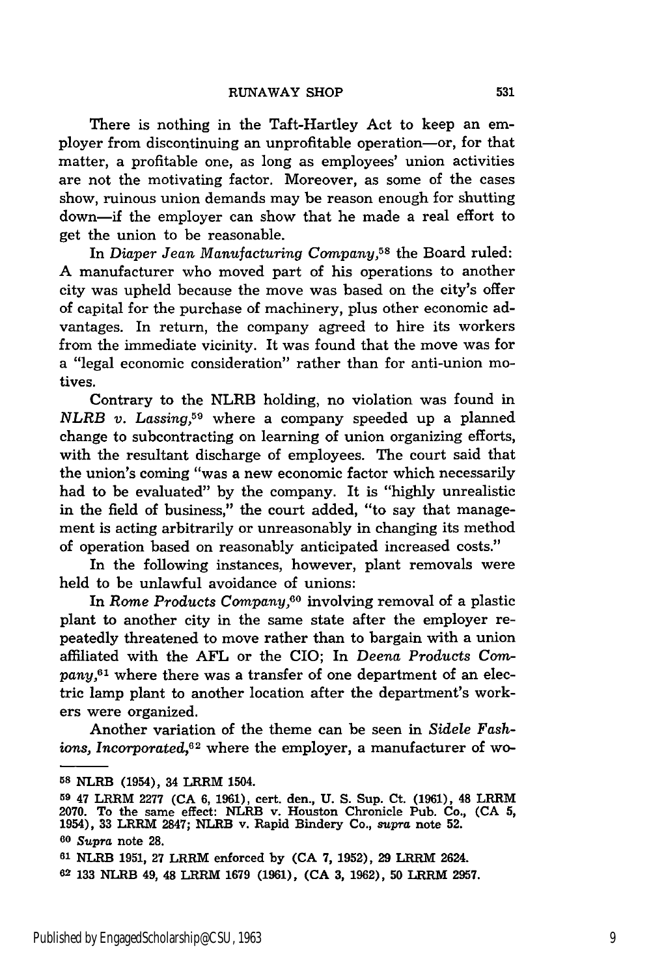There is nothing in the Taft-Hartley Act to keep an employer from discontinuing an unprofitable operation-or, for that matter, a profitable one, as long as employees' union activities are not the motivating factor. Moreover, as some of the cases show, ruinous union demands may be reason enough for shutting down-if the employer can show that he made a real effort to get the union to be reasonable.

In *Diaper Jean Manufacturing Company,58* the Board ruled: A manufacturer who moved part of his operations to another city was upheld because the move was based on the city's offer of capital for the purchase of machinery, plus other economic advantages. In return, the company agreed to hire its workers from the immediate vicinity. It was found that the move was for a "legal economic consideration" rather than for anti-union motives.

Contrary to the NLRB holding, no violation was found in *NLRB v. Lassing,59* where a company speeded up a planned change to subcontracting on learning of union organizing efforts, with the resultant discharge of employees. The court said that the union's coming "was a new economic factor which necessarily had to be evaluated" by the company. It is "highly unrealistic in the field of business," the court added, "to say that management is acting arbitrarily or unreasonably in changing its method of operation based on reasonably anticipated increased costs."

In the following instances, however, plant removals were held to be unlawful avoidance of unions:

In *Rome Products Company,"°* involving removal of a plastic plant to another city in the same state after the employer repeatedly threatened to move rather than to bargain with a union affiliated with the AFL or the CIO; In *Deena Products Company*,<sup>61</sup> where there was a transfer of one department of an electric lamp plant to another location after the department's workers were organized.

Another variation of the theme can be seen in *Sidele Fashions, Incorporated,62* where the employer, a manufacturer of wo-

**58** NLRB (1954), 34 LRRM 1504.

**<sup>59</sup>**47 LRRM **2277 (CA 6, 1961),** cert. den., **U. S.** Sup. Ct. **(1961),** 48 LRRM **2070.** To the same effect: NLRB v. Houston Chronicle Pub. Co., **(CA 5,** 1954), **33** LRRM **2847;** NLRB v. Rapid Bindery Co., *supra* note **52. <sup>60</sup>***Supra* note **28.**

**<sup>61</sup>**NLRB 1951, 27 LRRM enforced by **(CA 7,** 1952), 29 LRRM 2624.

**<sup>62</sup>** 133 NLRB 49, 48 LRRM 1679 (1961), **(CA 3,** 1962), **50** LRRM **2957.**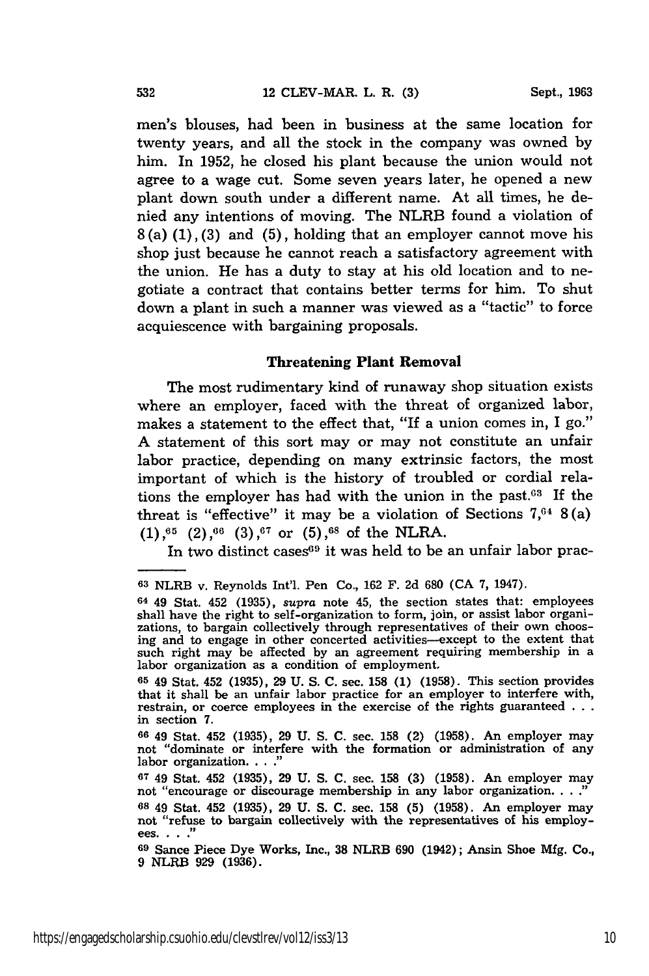men's blouses, had been in business at the same location for twenty years, and all the stock in the company was owned by him. In 1952, he closed his plant because the union would not agree to a wage cut. Some seven years later, he opened a new plant down south under a different name. At all times, he denied any intentions of moving. The NLRB found a violation of **8** (a) (1), (3) and (5), holding that an employer cannot move his shop just because he cannot reach a satisfactory agreement with the union. He has a duty to stay at his old location and to negotiate a contract that contains better terms for him. To shut down a plant in such a manner was viewed as a "tactic" to force acquiescence with bargaining proposals.

#### Threatening **Plant Removal**

The most rudimentary kind of runaway shop situation exists where an employer, faced with the threat of organized labor, makes a statement to the effect that, "If a union comes in, I go." A statement of this sort may or may not constitute an unfair labor practice, depending on many extrinsic factors, the most important of which is the history of troubled or cordial relations the employer has had with the union in the past. $63$  If the threat is "effective" it may be a violation of Sections  $7,64$  8(a) **(1),65** (2),66 **(3),67** or **(5),68** of the NLRA.

In two distinct cases $69$  it was held to be an unfair labor prac-

<sup>63</sup> NLRB v. Reynolds Int'l. Pen Co., 162 F. **2d** 680 **(CA** 7, 1947).

**<sup>64</sup>**49 Stat. 452 (1935), *supra* note 45, the section states that: employees shall have the right to self-organization to form, join, or assist labor organizations, to bargain collectively through representatives of their own choosing and to engage in other concerted activities-except to the extent that such right may be affected by an agreement requiring membership in a labor organization as a condition of employment.

**<sup>65</sup>**49 Stat. 452 (1935), 29 **U.** S. C. sec. 158 (1) (1958). This section provides that it shall be an unfair labor practice for an employer to interfere with, restrain, or coerce employees in the exercise of the rights guaranteed **...** in section **7.**

**<sup>66</sup>**49 Stat. 452 (1935), 29 U. S. C. sec. 158 (2) (1958). An employer may not "dominate or interfere with the formation or administration of any labor organization. **.. ."**

**<sup>67</sup>**49 Stat. 452 (1935), 29 U. S. C. sec. 158 (3) (1958). An employer may not "encourage or discourage membership in any labor organization. . **...**

**<sup>68</sup>** 49 Stat. 452 **(1935), 29** U. **S. C.** sec. 158 **(5) (1958).** An employer may not "refuse to bargain collectively with the representatives of his employ- ees. **... "**

**<sup>69</sup>** Sance Piece Dye Works, Inc., **38** NLRB **690** (1942); Ansin Shoe **Mfg.** Co., **9** NLRB **929 (1936).**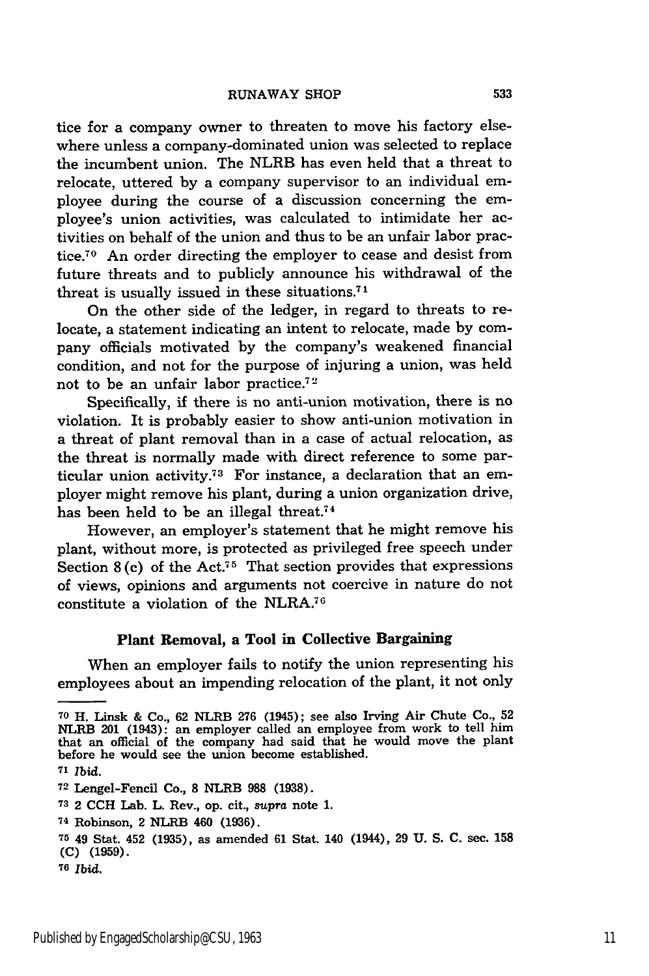tice for a company owner to threaten to move his factory elsewhere unless a company-dominated union was selected to replace the incumbent union. The NLRB has even held that a threat to relocate, uttered by a company supervisor to an individual employee during the course of a discussion concerning the employee's union activities, was calculated to intimidate her activities on behalf of the union and thus to be an unfair labor practice.<sup>70</sup> An order directing the employer to cease and desist from future threats and to publicly announce his withdrawal of the threat is usually issued in these situations.7 <sup>1</sup>

On the other side of the ledger, in regard to threats to relocate, a statement indicating an intent to relocate, made by company officials motivated by the company's weakened financial condition, and not for the purpose of injuring a union, was held not to be an unfair labor practice.72

Specifically, if there is no anti-union motivation, there is no violation. It is probably easier to show anti-union motivation in a threat of plant removal than in a case of actual relocation, as the threat is normally made with direct reference to some particular union activity.73 For instance, a declaration that an employer might remove his plant, during a union organization drive, has been held to be an illegal threat.<sup>74</sup>

However, an employer's statement that he might remove his plant, without more, is protected as privileged free speech under Section  $8$  (c) of the Act.<sup>75</sup> That section provides that expressions of views, opinions and arguments not coercive in nature do not constitute a violation of the NLRA.76

#### **Plant Removal, a Tool in Collective Bargaining**

When an employer fails to notify the union representing his employees about an impending relocation of the plant, it not only

**<sup>70</sup>**H. Linsk & Co., 62 NLRB 276 (1945); see also Irving Air Chute Co., 52 NLRB 201 (1943): an employer called an employee from work to tell him that an official of the company had said that he would move the plant before he would see the union become established.

*<sup>71</sup>Ibid.*

**<sup>72</sup>** Lengel-Fencil Co., **8** NLRB **988 (1938).**

**<sup>73</sup>**2 **CCH** Lab. L. Rev., op. cit., *supra* note **1.**

**<sup>74</sup>**Robinson, 2 NLRB 460 **(1936).**

**<sup>75</sup>**49 Stat. 452 **(1935),** as amended **61** Stat. 140 (1944), **29 U. S. C.** sec. **158 (C) (1959).**

**<sup>76</sup>**Ibid.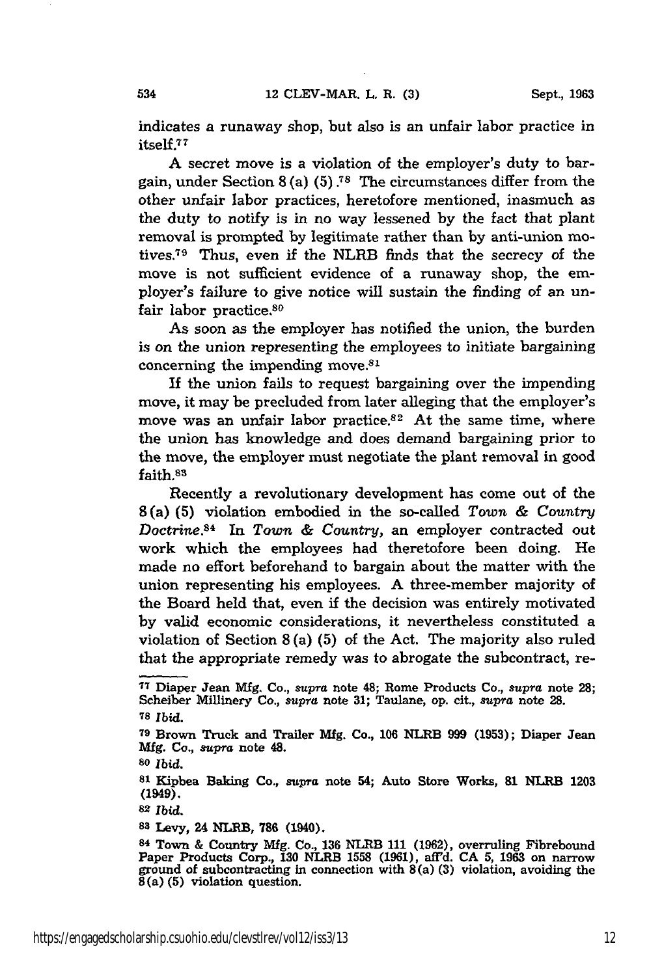indicates a runaway shop, but also is an unfair labor practice in itself.77

A secret move is a violation of the employer's duty to bargain, under Section **8** (a) **(5) .7s** The circumstances differ from the other unfair labor practices, heretofore mentioned, inasmuch as the duty to notify is in no way lessened by the fact that plant removal is prompted by legitimate rather than by anti-union motives.<sup>79</sup> Thus, even if the NLRB finds that the secrecy of the move is not sufficient evidence of a runaway shop, the employer's failure to give notice will sustain the finding of an unfair labor practice.<sup>80</sup>

As soon as the employer has notified the union, the burden is on the union representing the employees to initiate bargaining concerning the impending move. $81$ 

**If** the union fails to request bargaining over the impending move, it may be precluded from later alleging that the employer's move was an unfair labor practice. $82$  At the same time, where the union has knowledge and does demand bargaining prior to the move, the employer must negotiate the plant removal in good faith.83

Recently a revolutionary development has come out of the 8(a) **(5)** violation embodied in the so-called *Town & Country Doctrine.8 4* In *Town & Country,* an employer contracted out work which the employees had theretofore been doing. He made no effort beforehand to bargain about the matter with the union representing his employees. A three-member majority of the Board held that, even if the decision was entirely motivated **by** valid economic considerations, it nevertheless constituted a violation of Section **8** (a) **(5)** of the Act. The majority also ruled that the appropriate remedy was to abrogate the subcontract, re-

<sup>80</sup>*Ibid.*

**<sup>81</sup>**Kipbea Baking Co., supra note 54; Auto Store Works, **81** NLRB **1203** (1949).

<sup>82</sup>*Ibid.*

**<sup>83</sup>**Levy, 24 NLRB, **786** (1940).

**<sup>17</sup>**Diaper Jean **Mfg.** Co., *supra* note 48; Rome Products Co., *supra* note **28;** Scheiber Millinery Co., *supra* note **31;** Taulane, op. cit., *supra* note **28. <sup>78</sup>***ibid.*

**<sup>79</sup>**Brown Truck and Trailer **Mfg.** Co., **106** NLRB **999 (1953);** Diaper Jean **Mfg.** Co., *supra* note 48.

<sup>84</sup> Town **&** Country **Mfg.** Co., **136** NLRB 111 **(1962),** overruling Fibrebound Paper Products Corp., **130** NLRB **1558 (1961),** affd. **CA 5,** 1963 on narrow ground of subcontracting in connection with 8(a) **(3)** violation, avoiding the 8(a) **(5)** violation question.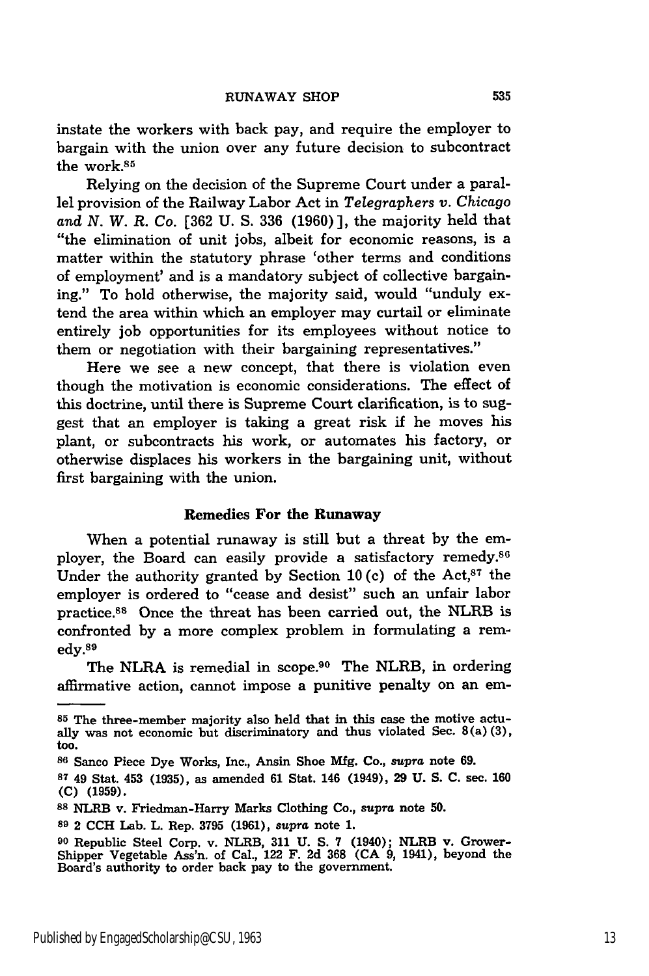instate the workers with back pay, and require the employer to bargain with the union over any future decision to subcontract the work.<sup>85</sup>

Relying on the decision of the Supreme Court under a parallel provision of the Railway Labor Act in *Telegraphers v. Chicago* and *N. W. R.* Co. [362 U. S. 336 (1960)], the majority held that "the elimination of unit jobs, albeit for economic reasons, is a matter within the statutory phrase 'other terms and conditions of employment' and is a mandatory subject of collective bargaining." To hold otherwise, the majority said, would "unduly extend the area within which an employer may curtail or eliminate entirely **job** opportunities for its employees without notice to them or negotiation with their bargaining representatives."

Here we see a new concept, that there is violation even though the motivation is economic considerations. The effect of this doctrine, until there is Supreme Court clarification, is to suggest that an employer is taking a great risk if he moves his plant, or subcontracts his work, or automates his factory, or otherwise displaces his workers in the bargaining unit, without first bargaining with the union.

#### Remedies **For the Runaway**

When a potential runaway is still but a threat by the employer, the Board can easily provide a satisfactory remedy.<sup>86</sup> Under the authority granted by Section 10(c) of the Act,<sup>87</sup> the employer is ordered to "cease and desist" such an unfair labor practice.8 8 Once the threat has been carried out, the NLRB is confronted by a more complex problem in formulating a rem $edv.<sup>89</sup>$ 

The NLRA is remedial in scope.<sup>90</sup> The NLRB, in ordering affirmative action, cannot impose a punitive penalty on an em-

**<sup>85</sup>** The three-member majority also held that in this case the motive actually was not economic but discriminatory and thus violated Sec. 8(a) **(3),** too.

**<sup>86</sup>**Sanco Piece Dye Works, Inc., Ansin Shoe **Mfg.** Co., *supra* note **69.**

**<sup>87</sup>**49 Stat. 453 **(1935),** as amended **61** Stat. 146 (1949), **29 U. S. C.** sec. **160 (C) (1959).**

**<sup>88</sup>**NLRB v. Friedman-Harry Marks Clothing Co., supra note **50.**

**<sup>89</sup>**2 **CCH** Lab. L. Rep. **3795** (1961), *supra* note **1.**

**<sup>90</sup>** Republic Steel Corp. v. NLRB, **311 U. S. 7** (1940); NLRB v. Grower-Shipper Vegetable Ass'n. of Cal., 122 F. **2d 368 (CA 9,** 1941), beyond the Board's authority to order back pay to the government.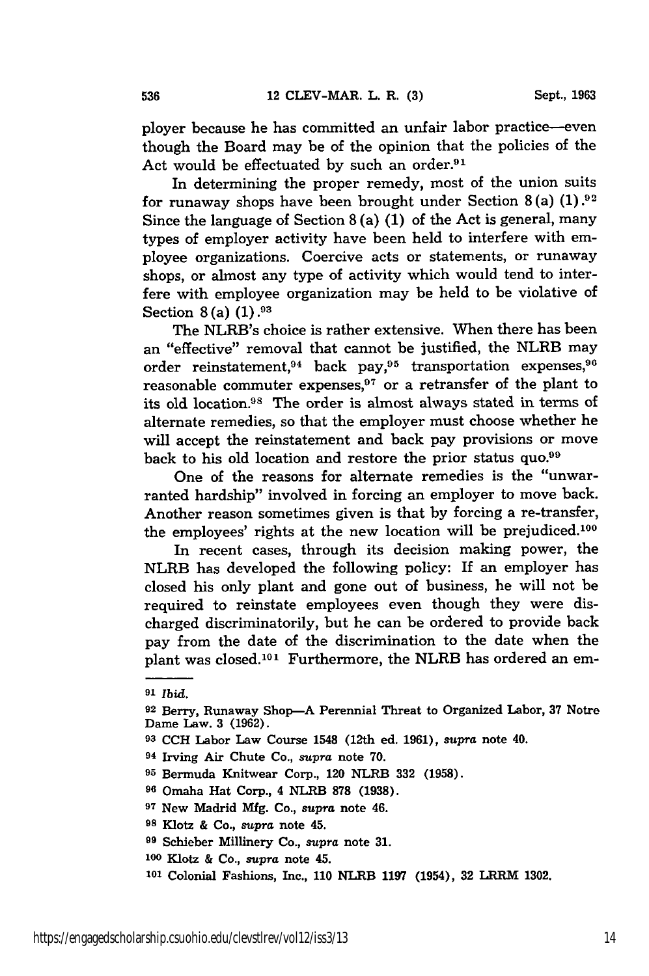ployer because he has committed an unfair labor practice-even though the Board may be of the opinion that the policies of the Act would be effectuated by such an order.<sup>91</sup>

In determining the proper remedy, most of the union suits for runaway shops have been brought under Section **8** (a) **(1). 92** Since the language of Section **8** (a) **(1)** of the Act is general, many types of employer activity have been held to interfere with employee organizations. Coercive acts or statements, or runaway shops, or almost any type of activity which would tend to interfere with employee organization may be held to be violative of Section **8** (a) **(1).93**

The NLRB's choice is rather extensive. When there has been an "effective" removal that cannot be justified, the NLRB may order reinstatement,<sup>94</sup> back pay,<sup>95</sup> transportation expenses,<sup>9</sup> reasonable commuter expenses, $97$  or a retransfer of the plant to its old location.<sup>98</sup> The order is almost always stated in terms of alternate remedies, so that the employer must choose whether he will accept the reinstatement and back pay provisions or move back to his old location and restore the prior status quo.<sup>99</sup>

One of the reasons for alternate remedies is the "unwarranted hardship" involved in forcing an employer to move back. Another reason sometimes given is that by forcing a re-transfer, the employees' rights at the new location will be prejudiced.<sup>100</sup>

In recent cases, through its decision making power, the NLRB has developed the following policy: If an employer has closed his only plant and gone out of business, he will not be required to reinstate employees even though they were discharged discriminatorily, but he can be ordered to provide back pay from the date of the discrimination to the date when the plant was closed.<sup>101</sup> Furthermore, the NLRB has ordered an em-

536

**<sup>91</sup>***Ibid.*

<sup>&</sup>lt;sup>92</sup> Berry, Runaway Shop-A Perennial Threat to Organized Labor, 37 Notre Dame Law. 3 (1962).

**<sup>93</sup> CCH** Labor Law Course 1548 (12th ed. 1961), supra note 40.

**<sup>94</sup>**Irving Air Chute Co., *supra* note 70.

**<sup>95</sup>**Bermuda Knitwear Corp., 120 NLRB **332** (1958).

**<sup>96</sup>**Omaha Hat Corp., 4 NLRB **878** (1938).

**<sup>97</sup>**New Madrid Mig. Co., supra note 46.

**<sup>98</sup>**Klotz **&** Co., *supra* note 45.

**<sup>99</sup>**Schieber Millinery Co., *supra* note **31.**

**<sup>100</sup>**Klotz & Co., *supra* note 45.

**<sup>101</sup>**Colonial Fashions, Inc., **110** NLRB **1197** (1954), **32** LRRIVI **1302.**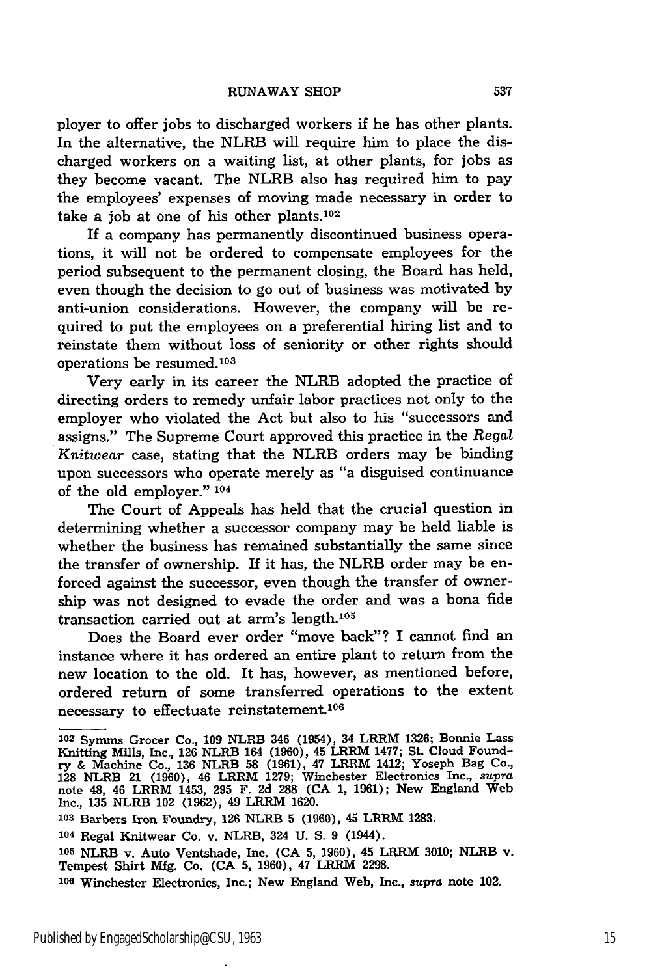ployer to offer jobs to discharged workers if he has other plants. In the alternative, the NLRB will require him to place the discharged workers on a waiting list, at other plants, for jobs as they become vacant. The NLRB also has required him to pay the employees' expenses of moving made necessary in order to take a job at one of his other plants.102

If a company has permanently discontinued business operations, it will not be ordered to compensate employees for the period subsequent to the permanent closing, the Board has held, even though the decision to go out of business was motivated by anti-union considerations. However, the company will be required to put the employees on a preferential hiring list and to reinstate them without loss of seniority or other rights should operations be resumed.<sup>103</sup>

Very early in its career the NLRB adopted the practice of directing orders to remedy unfair labor practices not only to the employer who violated the Act but also to his "successors and assigns." The Supreme Court approved this practice in the *Regal Knitwear* case, stating that the NLRB orders may be binding upon successors who operate merely as "a disguised continuance of the old employer." 104

The Court of Appeals has held that the crucial question in determining whether a successor company may be held liable is whether the business has remained substantially the same since the transfer of ownership. If it has, the NLRB order may be enforced against the successor, even though the transfer of ownership was not designed to evade the order and was a bona fide transaction carried out at arm's length. $105$ 

Does the Board ever order "move back"? I cannot find an instance where it has ordered an entire plant to return from the new location to the old. It has, however, as mentioned before, ordered return of some transferred operations to the extent necessary to effectuate reinstatement.<sup>106</sup>

**<sup>103</sup>**Barbers Iron Foundry, 126 NLRB **5** (1960), 45 LRRM **1283.**

**<sup>105</sup>**NLRB v. Auto Ventshade, Inc. **(CA 5,** 1960), 45 LRRM 3010; NLRB v. Tempest Shirt Mfg. Co. **(CA 5,** 1960), 47 LRRM 2298.

**<sup>102</sup>**Symms Grocer Co., 109 NLRB 346 (1954), 34 LRRM 1326; Bonnie Lass Knitting Mills, Inc., 126 NLRB 164 (1960), 45 LRRM 1477; St. Cloud Foundry & Machine Co., 136 NLRB **58** (1961), 47 LRRM 1412; Yoseph Bag Co., **128** NLRB 21 (1960), 46 LRRM 1279; Winchester Electronics Inc., *supra* note 48, 46 LRRM 1453, **295** F. 2d **288** (CA 1, 1961); New England Web Inc., 135 NLRB 102 (1962), 49 LRRM 1620.

**<sup>104</sup>**Regal Knitwear Co. v. NLRB, 324 U. **S.** 9 (1944).

**<sup>106</sup>**Winchester Electronics, Inc.; New England Web, Inc., *supra* note 102.